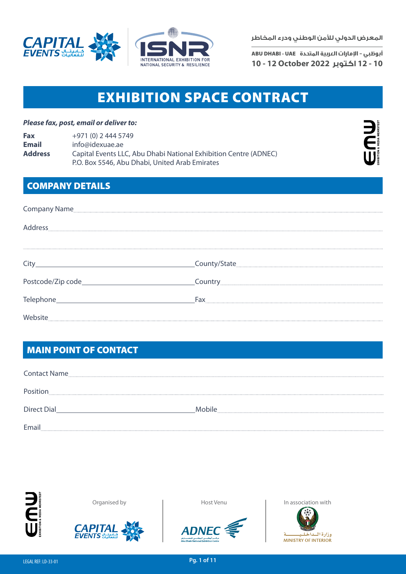



ADNEC, ABU DHABI, U.A.E

**المعرض الدولي لألمن الوطني ودرء المخاطر**

**أبوظبي - اإلمارات العربية المتحدة** UAE - DHABI ABU **10 - 12 اكتوبر 2022 October 12 - 10**

## **EXHIBITION SPACE CONTRACT**

#### *Please fax, post, email or deliver to:*

| Fax            | +971 (0) 2 444 5749                                              |
|----------------|------------------------------------------------------------------|
| Email          | info@idexuae.ae                                                  |
| <b>Address</b> | Capital Events LLC, Abu Dhabi National Exhibition Centre (ADNEC) |
|                | P.O. Box 5546, Abu Dhabi, United Arab Emirates                   |



## COMPANY DETAILS

| Company Name |     |  |
|--------------|-----|--|
| Address      |     |  |
|              |     |  |
|              |     |  |
|              |     |  |
|              | Fax |  |
| Website      |     |  |

## MAIN POINT OF CONTACT

| <b>Contact Name</b> |        |
|---------------------|--------|
| Position<br>        |        |
| <b>Direct Dial</b>  | Mobile |
| Email               |        |









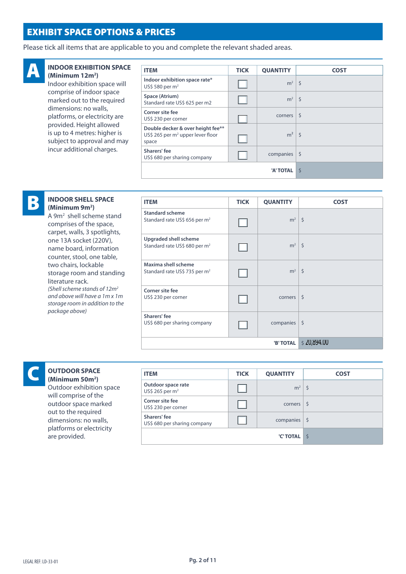## EXHIBIT SPACE OPTIONS & PRICES

Please tick all items that are applicable to you and complete the relevant shaded areas.



#### **INDOOR EXHIBITION SPACE (Minimum 12m2 )**

Indoor exhibition space will comprise of indoor space marked out to the required dimensions: no walls, platforms, or electricity are provided. Height allowed is up to 4 metres: higher is subject to approval and may incur additional charges.

| <b>ITEM</b>                                                                                 | <b>TICK</b> | <b>QUANTITY</b>         | <b>COST</b>  |
|---------------------------------------------------------------------------------------------|-------------|-------------------------|--------------|
| Indoor exhibition space rate*<br>US\$ 580 per m <sup>2</sup>                                |             | $m2$   \$               |              |
| Space (Atrium)<br>Standard rate US\$ 625 per m2                                             |             | $m2$   \$               |              |
| Corner site fee<br>US\$ 230 per corner                                                      |             | corners                 | <sub>S</sub> |
| Double decker & over height fee**<br>US\$ 265 per m <sup>2</sup> upper lever floor<br>space |             | $m^2$ \$                |              |
| Sharers' fee<br>US\$ 680 per sharing company                                                |             | companies $\frac{1}{2}$ |              |
|                                                                                             |             | 'A' TOTAL               | Ś            |

# B

#### **INDOOR SHELL SPACE (Minimum 9m2 )**

A 9m2 shell scheme stand comprises of the space, carpet, walls, 3 spotlights, one 13A socket (220V), name board, information counter, stool, one table, two chairs, lockable storage room and standing literature rack. *(Shell scheme stands of 12m2 and above will have a 1m x 1m storage room in addition to the package above)*

| <b>ITEM</b>                                                         | <b>TICK</b> | <b>QUANTITY</b> | <b>COST</b>        |
|---------------------------------------------------------------------|-------------|-----------------|--------------------|
| <b>Standard scheme</b><br>Standard rate US\$ 656 per m <sup>2</sup> |             | $m^2$ \$        |                    |
| Upgraded shell scheme<br>Standard rate US\$ 680 per m <sup>2</sup>  |             | $m^2$ \$        |                    |
| Maxima shell scheme<br>Standard rate US\$ 735 per m <sup>2</sup>    |             | $m^2$ \$        |                    |
| Corner site fee<br>US\$ 230 per corner                              |             | corners         | $\mathsf{\dot{S}}$ |
| Sharers' fee<br>US\$ 680 per sharing company                        |             | companies       | $\zeta$            |
|                                                                     |             | 'B' TOTAL       | \$20,894.00        |

# C

#### **OUTDOOR SPACE (Minimum 50m2 )**

Outdoor exhibition space will comprise of the outdoor space marked out to the required dimensions: no walls, platforms or electricity are provided.

| <b>ITEM</b>                                  | <b>TICK</b> | <b>QUANTITY</b>         | <b>COST</b> |
|----------------------------------------------|-------------|-------------------------|-------------|
| Outdoor space rate<br>US\$ 265 per $m2$      |             | $m^2$ \$                |             |
| Corner site fee<br>US\$ 230 per corner       |             | corners                 |             |
| Sharers' fee<br>US\$ 680 per sharing company |             | companies $\frac{1}{2}$ |             |
|                                              |             | 'C' TOTAL               |             |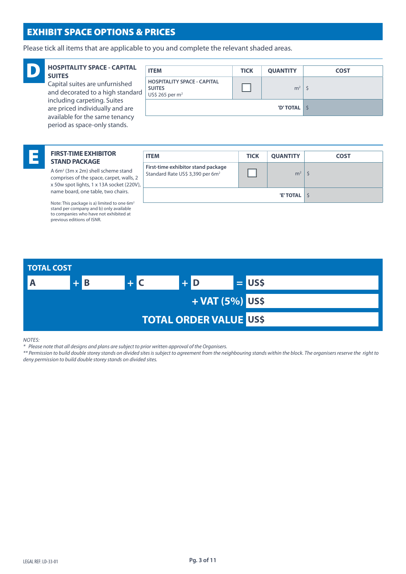## EXHIBIT SPACE OPTIONS & PRICES

Please tick all items that are applicable to you and complete the relevant shaded areas.



#### **HOSPITALITY SPACE - CAPITAL SUITES**

Capital suites are unfurnished and decorated to a high standard including carpeting. Suites are priced individually and are available for the same tenancy period as space-only stands.

| <b>HOSPITALITY SPACE - CAPITAL</b><br><b>SUITES</b>                | <b>ITEM</b>                                                              | <b>TICK</b> | <b>QUANTITY</b> | <b>COST</b> |
|--------------------------------------------------------------------|--------------------------------------------------------------------------|-------------|-----------------|-------------|
| Capital suites are unfurnished<br>and decorated to a high standard | <b>HOSPITALITY SPACE - CAPITAL</b><br><b>SUITES</b><br>US\$ 265 per $m2$ |             | $m2$   \$       |             |
| including carpeting. Suites<br>are priced individually and are     |                                                                          |             | 'D'TOTAL S      |             |
| available for the same tenancy                                     |                                                                          |             |                 |             |

#### E **FIRST-TIME EXHIBITOR STAND PACKAGE**

A 6m<sup>2</sup> (3m x 2m) shell scheme stand comprises of the space, carpet, walls, 2 x 50w spot lights, 1 x 13A socket (220V), name board, one table, two chairs.

Note: This package is a) limited to one 6m2 stand per company and b) only available to companies who have not exhibited at previous editions of ISNR.

| <b>ITEM</b>                                                                        | <b>TICK</b> | <b>QUANTITY</b> | <b>COST</b> |
|------------------------------------------------------------------------------------|-------------|-----------------|-------------|
| First-time exhibitor stand package<br>Standard Rate US\$ 3,390 per 6m <sup>2</sup> |             | m <sup>2</sup>  |             |
|                                                                                    |             | 'E' TOTAL       | l S         |



#### *NOTES:*

*\* Please note that all designs and plans are subject to prior written approval of the Organisers.*

*\*\* Permission to build double storey stands on divided sites is subject to agreement from the neighbouring stands within the block. The organisers reserve the right to deny permission to build double storey stands on divided sites.*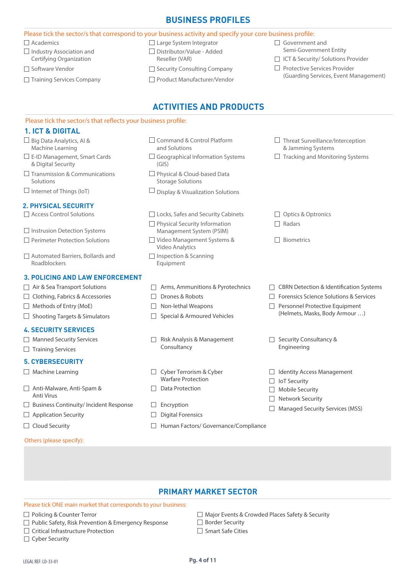## **BUSINESS PROFILES**

|                                                               | Please tick the sector/s that correspond to your business activity and specify your core business profile: |                                                                                  |
|---------------------------------------------------------------|------------------------------------------------------------------------------------------------------------|----------------------------------------------------------------------------------|
| <b>Academics</b>                                              | □ Large System Integrator                                                                                  | Government and                                                                   |
| $\Box$ Industry Association and                               | Distributor/Value - Added                                                                                  | Semi-Government Entity                                                           |
| Certifying Organization                                       | Reseller (VAR)                                                                                             | □ ICT & Security/ Solutions Provider                                             |
| □ Software Vendor                                             | Security Consulting Company                                                                                | Protective Services Provider<br>$\perp$<br>(Guarding Services, Event Management) |
| Training Services Company                                     | Product Manufacturer/Vendor                                                                                |                                                                                  |
|                                                               | <b>ACTIVITIES AND PRODUCTS</b>                                                                             |                                                                                  |
| Please tick the sector/s that reflects your business profile: |                                                                                                            |                                                                                  |
| <b>1. ICT &amp; DIGITAL</b>                                   |                                                                                                            |                                                                                  |
| $\Box$ Big Data Analytics, Al &<br>Machine Learning           | Command & Control Platform<br>and Solutions                                                                | $\Box$ Threat Surveillance/Interception<br>& Jamming Systems                     |
| $\Box$ E-ID Management, Smart Cards<br>& Digital Security     | $\Box$ Geographical Information Systems<br>(GIS)                                                           | <b>Tracking and Monitoring Systems</b>                                           |
| $\Box$ Transmission & Communications<br>Solutions             | Physical & Cloud-based Data<br><b>Storage Solutions</b>                                                    |                                                                                  |
| $\Box$ Internet of Things (IoT)                               | Display & Visualization Solutions                                                                          |                                                                                  |
| <b>2. PHYSICAL SECURITY</b>                                   |                                                                                                            |                                                                                  |
| Access Control Solutions                                      | □ Locks, Safes and Security Cabinets                                                                       | Optics & Optronics                                                               |
| $\Box$ Instrusion Detection Systems                           | □ Physical Security Information<br>Management System (PSIM)                                                | Radars                                                                           |
| $\Box$ Perimeter Protection Solutions                         | □ Video Management Systems &<br>Video Analytics                                                            | Biometrics                                                                       |
| Automated Barriers, Bollards and<br>Roadblockers              | $\Box$ Inspection & Scanning<br>Equipment                                                                  |                                                                                  |
| <b>3. POLICING AND LAW ENFORCEMENT</b>                        |                                                                                                            |                                                                                  |
| $\Box$ Air & Sea Transport Solutions                          | Arms, Ammunitions & Pyrotechnics                                                                           | <b>CBRN Detection &amp; Identification Systems</b>                               |
| $\Box$ Clothing, Fabrics & Accessories                        | Drones & Robots                                                                                            | Forensics Science Solutions & Services                                           |
| Methods of Entry (MoE)                                        | Non-lethal Weapons                                                                                         | Personnel Protective Equipment                                                   |
| $\Box$ Shooting Targets & Simulators                          | Special & Armoured Vehicles                                                                                | (Helmets, Masks, Body Armour )                                                   |
| <b>4. SECURITY SERVICES</b>                                   |                                                                                                            |                                                                                  |
| Manned Security Services                                      | Risk Analysis & Management                                                                                 | Security Consultancy &                                                           |
| $\Box$ Training Services                                      | Consultancy                                                                                                | Engineering                                                                      |
| <b>5. CYBERSECURITY</b>                                       |                                                                                                            |                                                                                  |
| $\Box$ Machine Learning                                       | Cyber Terrorism & Cyber<br><b>Warfare Protection</b>                                                       | <b>Identity Access Management</b><br><b>IoT Security</b>                         |
| □ Anti-Malware, Anti-Spam &<br>Anti Virus                     | <b>Data Protection</b>                                                                                     | Mobile Security<br>Network Security                                              |
| <b>Business Continuity/Incident Response</b>                  | Encryption                                                                                                 | Managed Security Services (MSS)                                                  |
| <b>Application Security</b>                                   | <b>Digital Forensics</b>                                                                                   |                                                                                  |
| $\Box$ Cloud Security                                         | Human Factors/ Governance/Compliance                                                                       |                                                                                  |
|                                                               |                                                                                                            |                                                                                  |

### **PRIMARY MARKET SECTOR**

#### Please tick ONE main market that corresponds to your business:

#### □ Policing & Counter Terror

Others (please specify):

- □ Public Safety, Risk Prevention & Emergency Response
- Critical Infrastructure Protection
- **Cyber Security**
- Major Events & Crowded Places Safety & Security □ Border Security
- 
- □ Smart Safe Cities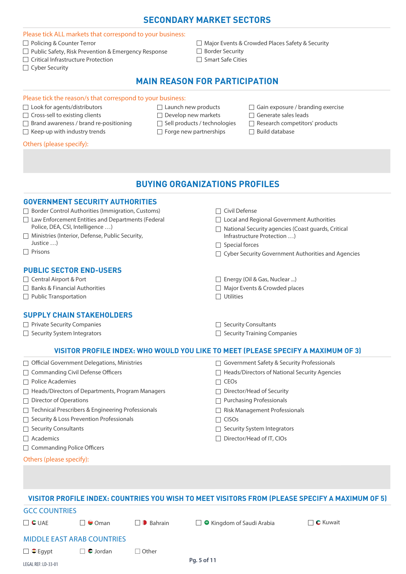## **SECONDARY MARKET SECTORS**

#### Please tick ALL markets that correspond to your business:

- □ Policing & Counter Terror
- $\Box$  Public Safety, Risk Prevention & Emergency Response
- □ Critical Infrastructure Protection
- □ Cyber Security

□ Major Events & Crowded Places Safety & Security □ Border Security  $\Box$  Smart Safe Cities

## **MAIN REASON FOR PARTICIPATION**

**BUYING ORGANIZATIONS PROFILES**

#### Please tick the reason/s that correspond to your business:

- □ Look for agents/distributors
- $\Box$  Cross-sell to existing clients
- Brand awareness / brand re-positioning
- $\Box$  Keep-up with industry trends
- Launch new products  $\Box$  Develop new markets
- $\Box$  Sell products / technologies
- $\Box$  Forge new partnerships
- $\Box$  Gain exposure / branding exercise
- Generate sales leads
- $\Box$  Research competitors' products
- Build database

#### Others (please specify):

| <b>GOVERNMENT SECURITY AUTHORITIES</b><br>□ Border Control Authorities (Immigration, Customs)<br>$\Box$ Civil Defense<br>$\Box$ Law Enforcement Entities and Departments (Federal<br>$\Box$ Local and Regional Government Authorities<br>Police, DEA, CSI, Intelligence )<br>$\Box$ National Security agencies (Coast guards, Critical<br>Ministries (Interior, Defense, Public Security,<br>Infrastructure Protection )<br>Justice $\dots$ )<br>$\Box$ Special forces<br>Prisons<br>□ Cyber Security Government Authorities and Agencies<br><b>PUBLIC SECTOR END-USERS</b><br>□ Central Airport & Port<br>Energy (Oil & Gas, Nuclear )<br><b>Banks &amp; Financial Authorities</b><br>Major Events & Crowded places<br>$\Box$ Utilities<br>$\Box$ Public Transportation<br><b>SUPPLY CHAIN STAKEHOLDERS</b><br>Private Security Companies<br>Security Consultants<br>Security System Integrators<br>Security Training Companies<br>VISITOR PROFILE INDEX: WHO WOULD YOU LIKE TO MEET (PLEASE SPECIFY A MAXIMUM OF 3)<br>□ Government Safety & Security Professionals<br>Official Government Delegations, Ministries<br><b>Commanding Civil Defense Officers</b><br>Heads/Directors of National Security Agencies<br><b>Police Academies</b><br>$\Box$ CEOs<br>Heads/Directors of Departments, Program Managers<br>Director/Head of Security<br><b>Director of Operations</b><br>□ Purchasing Professionals<br>Technical Prescribers & Engineering Professionals<br>Risk Management Professionals<br>Security & Loss Prevention Professionals<br>$\Box$ CISOs<br><b>Security Consultants</b><br>$\Box$ Security System Integrators<br>Academics<br>$\Box$ Director/Head of IT, CIOs<br><b>Commanding Police Officers</b><br>Others (please specify):<br>VISITOR PROFILE INDEX: COUNTRIES YOU WISH TO MEET VISITORS FROM (PLEASE SPECIFY A MAXIMUM OF 5)<br><b>GCC COUNTRIES</b> |  |
|---------------------------------------------------------------------------------------------------------------------------------------------------------------------------------------------------------------------------------------------------------------------------------------------------------------------------------------------------------------------------------------------------------------------------------------------------------------------------------------------------------------------------------------------------------------------------------------------------------------------------------------------------------------------------------------------------------------------------------------------------------------------------------------------------------------------------------------------------------------------------------------------------------------------------------------------------------------------------------------------------------------------------------------------------------------------------------------------------------------------------------------------------------------------------------------------------------------------------------------------------------------------------------------------------------------------------------------------------------------------------------------------------------------------------------------------------------------------------------------------------------------------------------------------------------------------------------------------------------------------------------------------------------------------------------------------------------------------------------------------------------------------------------------------------------------------------------------------------------------------------------|--|
|                                                                                                                                                                                                                                                                                                                                                                                                                                                                                                                                                                                                                                                                                                                                                                                                                                                                                                                                                                                                                                                                                                                                                                                                                                                                                                                                                                                                                                                                                                                                                                                                                                                                                                                                                                                                                                                                                 |  |
|                                                                                                                                                                                                                                                                                                                                                                                                                                                                                                                                                                                                                                                                                                                                                                                                                                                                                                                                                                                                                                                                                                                                                                                                                                                                                                                                                                                                                                                                                                                                                                                                                                                                                                                                                                                                                                                                                 |  |
|                                                                                                                                                                                                                                                                                                                                                                                                                                                                                                                                                                                                                                                                                                                                                                                                                                                                                                                                                                                                                                                                                                                                                                                                                                                                                                                                                                                                                                                                                                                                                                                                                                                                                                                                                                                                                                                                                 |  |
|                                                                                                                                                                                                                                                                                                                                                                                                                                                                                                                                                                                                                                                                                                                                                                                                                                                                                                                                                                                                                                                                                                                                                                                                                                                                                                                                                                                                                                                                                                                                                                                                                                                                                                                                                                                                                                                                                 |  |
|                                                                                                                                                                                                                                                                                                                                                                                                                                                                                                                                                                                                                                                                                                                                                                                                                                                                                                                                                                                                                                                                                                                                                                                                                                                                                                                                                                                                                                                                                                                                                                                                                                                                                                                                                                                                                                                                                 |  |
|                                                                                                                                                                                                                                                                                                                                                                                                                                                                                                                                                                                                                                                                                                                                                                                                                                                                                                                                                                                                                                                                                                                                                                                                                                                                                                                                                                                                                                                                                                                                                                                                                                                                                                                                                                                                                                                                                 |  |
|                                                                                                                                                                                                                                                                                                                                                                                                                                                                                                                                                                                                                                                                                                                                                                                                                                                                                                                                                                                                                                                                                                                                                                                                                                                                                                                                                                                                                                                                                                                                                                                                                                                                                                                                                                                                                                                                                 |  |
|                                                                                                                                                                                                                                                                                                                                                                                                                                                                                                                                                                                                                                                                                                                                                                                                                                                                                                                                                                                                                                                                                                                                                                                                                                                                                                                                                                                                                                                                                                                                                                                                                                                                                                                                                                                                                                                                                 |  |
|                                                                                                                                                                                                                                                                                                                                                                                                                                                                                                                                                                                                                                                                                                                                                                                                                                                                                                                                                                                                                                                                                                                                                                                                                                                                                                                                                                                                                                                                                                                                                                                                                                                                                                                                                                                                                                                                                 |  |
|                                                                                                                                                                                                                                                                                                                                                                                                                                                                                                                                                                                                                                                                                                                                                                                                                                                                                                                                                                                                                                                                                                                                                                                                                                                                                                                                                                                                                                                                                                                                                                                                                                                                                                                                                                                                                                                                                 |  |
|                                                                                                                                                                                                                                                                                                                                                                                                                                                                                                                                                                                                                                                                                                                                                                                                                                                                                                                                                                                                                                                                                                                                                                                                                                                                                                                                                                                                                                                                                                                                                                                                                                                                                                                                                                                                                                                                                 |  |
|                                                                                                                                                                                                                                                                                                                                                                                                                                                                                                                                                                                                                                                                                                                                                                                                                                                                                                                                                                                                                                                                                                                                                                                                                                                                                                                                                                                                                                                                                                                                                                                                                                                                                                                                                                                                                                                                                 |  |
|                                                                                                                                                                                                                                                                                                                                                                                                                                                                                                                                                                                                                                                                                                                                                                                                                                                                                                                                                                                                                                                                                                                                                                                                                                                                                                                                                                                                                                                                                                                                                                                                                                                                                                                                                                                                                                                                                 |  |
|                                                                                                                                                                                                                                                                                                                                                                                                                                                                                                                                                                                                                                                                                                                                                                                                                                                                                                                                                                                                                                                                                                                                                                                                                                                                                                                                                                                                                                                                                                                                                                                                                                                                                                                                                                                                                                                                                 |  |
|                                                                                                                                                                                                                                                                                                                                                                                                                                                                                                                                                                                                                                                                                                                                                                                                                                                                                                                                                                                                                                                                                                                                                                                                                                                                                                                                                                                                                                                                                                                                                                                                                                                                                                                                                                                                                                                                                 |  |
|                                                                                                                                                                                                                                                                                                                                                                                                                                                                                                                                                                                                                                                                                                                                                                                                                                                                                                                                                                                                                                                                                                                                                                                                                                                                                                                                                                                                                                                                                                                                                                                                                                                                                                                                                                                                                                                                                 |  |
|                                                                                                                                                                                                                                                                                                                                                                                                                                                                                                                                                                                                                                                                                                                                                                                                                                                                                                                                                                                                                                                                                                                                                                                                                                                                                                                                                                                                                                                                                                                                                                                                                                                                                                                                                                                                                                                                                 |  |
|                                                                                                                                                                                                                                                                                                                                                                                                                                                                                                                                                                                                                                                                                                                                                                                                                                                                                                                                                                                                                                                                                                                                                                                                                                                                                                                                                                                                                                                                                                                                                                                                                                                                                                                                                                                                                                                                                 |  |
|                                                                                                                                                                                                                                                                                                                                                                                                                                                                                                                                                                                                                                                                                                                                                                                                                                                                                                                                                                                                                                                                                                                                                                                                                                                                                                                                                                                                                                                                                                                                                                                                                                                                                                                                                                                                                                                                                 |  |
|                                                                                                                                                                                                                                                                                                                                                                                                                                                                                                                                                                                                                                                                                                                                                                                                                                                                                                                                                                                                                                                                                                                                                                                                                                                                                                                                                                                                                                                                                                                                                                                                                                                                                                                                                                                                                                                                                 |  |
|                                                                                                                                                                                                                                                                                                                                                                                                                                                                                                                                                                                                                                                                                                                                                                                                                                                                                                                                                                                                                                                                                                                                                                                                                                                                                                                                                                                                                                                                                                                                                                                                                                                                                                                                                                                                                                                                                 |  |
|                                                                                                                                                                                                                                                                                                                                                                                                                                                                                                                                                                                                                                                                                                                                                                                                                                                                                                                                                                                                                                                                                                                                                                                                                                                                                                                                                                                                                                                                                                                                                                                                                                                                                                                                                                                                                                                                                 |  |
|                                                                                                                                                                                                                                                                                                                                                                                                                                                                                                                                                                                                                                                                                                                                                                                                                                                                                                                                                                                                                                                                                                                                                                                                                                                                                                                                                                                                                                                                                                                                                                                                                                                                                                                                                                                                                                                                                 |  |
|                                                                                                                                                                                                                                                                                                                                                                                                                                                                                                                                                                                                                                                                                                                                                                                                                                                                                                                                                                                                                                                                                                                                                                                                                                                                                                                                                                                                                                                                                                                                                                                                                                                                                                                                                                                                                                                                                 |  |
|                                                                                                                                                                                                                                                                                                                                                                                                                                                                                                                                                                                                                                                                                                                                                                                                                                                                                                                                                                                                                                                                                                                                                                                                                                                                                                                                                                                                                                                                                                                                                                                                                                                                                                                                                                                                                                                                                 |  |
|                                                                                                                                                                                                                                                                                                                                                                                                                                                                                                                                                                                                                                                                                                                                                                                                                                                                                                                                                                                                                                                                                                                                                                                                                                                                                                                                                                                                                                                                                                                                                                                                                                                                                                                                                                                                                                                                                 |  |
|                                                                                                                                                                                                                                                                                                                                                                                                                                                                                                                                                                                                                                                                                                                                                                                                                                                                                                                                                                                                                                                                                                                                                                                                                                                                                                                                                                                                                                                                                                                                                                                                                                                                                                                                                                                                                                                                                 |  |
|                                                                                                                                                                                                                                                                                                                                                                                                                                                                                                                                                                                                                                                                                                                                                                                                                                                                                                                                                                                                                                                                                                                                                                                                                                                                                                                                                                                                                                                                                                                                                                                                                                                                                                                                                                                                                                                                                 |  |
|                                                                                                                                                                                                                                                                                                                                                                                                                                                                                                                                                                                                                                                                                                                                                                                                                                                                                                                                                                                                                                                                                                                                                                                                                                                                                                                                                                                                                                                                                                                                                                                                                                                                                                                                                                                                                                                                                 |  |
|                                                                                                                                                                                                                                                                                                                                                                                                                                                                                                                                                                                                                                                                                                                                                                                                                                                                                                                                                                                                                                                                                                                                                                                                                                                                                                                                                                                                                                                                                                                                                                                                                                                                                                                                                                                                                                                                                 |  |

| $\Box$ C UAE                      | $\Box \bullet$ Oman | $\Box$ Bahrain | $\Box$ • Kingdom of Saudi Arabia | $\Box$ $\bullet$ Kuwait |
|-----------------------------------|---------------------|----------------|----------------------------------|-------------------------|
| <b>MIDDLE EAST ARAB COUNTRIES</b> |                     |                |                                  |                         |

 $\Box$  Other

### $\Box$   $\bullet$  Egypt  $\Box$   $\bullet$  Jordan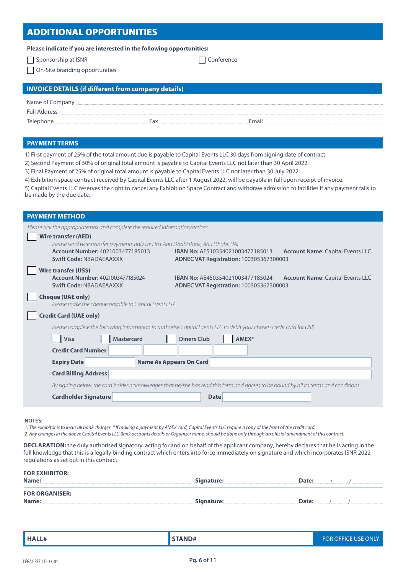## ADDITIONAL OPPORTUNITIES

| Please indicate if you are interested in the following opportunities: |  |  |
|-----------------------------------------------------------------------|--|--|
|-----------------------------------------------------------------------|--|--|

□ Sponsorship at ISNR Conference

On-Site branding opportunities

| <b>INVOICE DETAILS (if different from company details)</b> |     |       |  |  |  |
|------------------------------------------------------------|-----|-------|--|--|--|
| Name of Company                                            |     |       |  |  |  |
| <b>Full Address</b>                                        |     |       |  |  |  |
| Telephone                                                  | Fax | Email |  |  |  |

#### **PAYMENT TERMS**

1) First payment of 25% of the total amount due is payable to Capital Events LLC 30 days from signing date of contract.

2) Second Payment of 50% of original total amount is payable to Capital Events LLC not later than 30 April 2022.

3) Final Payment of 25% of original total amount is payable to Capital Events LLC not later than 30 July 2022.

4) Exhibition space contract received by Capital Events LLC after 1 August 2022, will be payable in full upon receipt of invoice.

5) Capital Events LLC reserves the right to cancel any Exhibition Space Contract and withdraw admission to facilities if any payment fails to be made by the due date.

| <b>PAYMENT METHOD</b>                                                                                                                                                         |                                                                                                                                      |  |  |  |
|-------------------------------------------------------------------------------------------------------------------------------------------------------------------------------|--------------------------------------------------------------------------------------------------------------------------------------|--|--|--|
| Please tick the appropriate box and complete the required information/action:                                                                                                 |                                                                                                                                      |  |  |  |
| <b>Wire transfer (AED)</b><br>Please send wire transfer payments only to: First Abu Dhabi Bank, Abu Dhabi, UAE<br>Account Number: 4021003477185013<br>Swift Code: NBADAEAAXXX | IBAN No: AE510354021003477185013<br><b>Account Name: Capital Events LLC</b><br><b>ADNEC VAT Registration: 100305367300003</b>        |  |  |  |
| Wire transfer (US\$)<br>Account Number: 4021003477185024<br>Swift Code: NBADAEAAXXX                                                                                           | <b>IBAN No: AE450354021003477185024</b><br><b>Account Name: Capital Events LLC</b><br><b>ADNEC VAT Registration: 100305367300003</b> |  |  |  |
| <b>Cheque (UAE only)</b><br>Please make the cheque payable to Capital Events LLC                                                                                              |                                                                                                                                      |  |  |  |
| <b>Credit Card (UAE only)</b>                                                                                                                                                 |                                                                                                                                      |  |  |  |
|                                                                                                                                                                               | Please complete the following information to authorise Capital Events LLC to debit your chosen credit card for US\$.                 |  |  |  |
| <b>Diners Club</b><br><b>Mastercard</b><br>AMEX*<br><b>Visa</b>                                                                                                               |                                                                                                                                      |  |  |  |
| <b>Credit Card Number</b>                                                                                                                                                     |                                                                                                                                      |  |  |  |
| <b>Expiry Date</b>                                                                                                                                                            | <b>Name As Appears On Card</b>                                                                                                       |  |  |  |
| <b>Card Billing Address</b>                                                                                                                                                   |                                                                                                                                      |  |  |  |
| By signing below, the card holder acknowledges that he/she has read this form and agrees to be bound by all its terms and conditions.                                         |                                                                                                                                      |  |  |  |
| <b>Cardholder Signature</b>                                                                                                                                                   | <b>Date</b>                                                                                                                          |  |  |  |
|                                                                                                                                                                               |                                                                                                                                      |  |  |  |

**NOTES:**

*1. The exhibitor is to incur all bank charges. \* If making a payment by AMEX card, Capital Events LLC require a copy of the front of the credit card. 2. Any changes in the above Capital Events LLC Bank accounts details or Organizer name, should be done only through an official amendment of this contract.*

**DECLARATION:** the duly authorised signatory, acting for and on behalf of the applicant company, hereby declares that he is acting in the full knowledge that this is a legally binding contract which enters into force immediately on signature and which incorporates ISNR 2022 regulations as set out in this contract.

| <b>FOR EXHIBITOR:</b><br>Name: | Signature: | Date: |  |
|--------------------------------|------------|-------|--|
| <b>FOR ORGANISER:</b><br>Name: | Signature: | Date: |  |

| HALL# | <b>STAND#</b> | <b>FOR OFFICE USE ONLY</b> |
|-------|---------------|----------------------------|
|-------|---------------|----------------------------|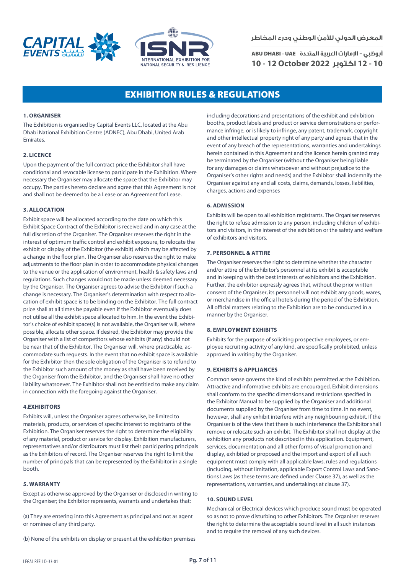



ADNEC, ABU DHABI, U.A.E

**المعرض الدولي لألمن الوطني ودرء المخاطر**

**أبوظبي - اإلمارات العربية المتحدة** UAE - DHABI ABU **10 - 12 اكتوبر 2022 October 12 - 10**

## **EXHIBITION RULES & REGULATIONS**

#### **1. ORGANISER**

The Exhibition is organised by Capital Events LLC, located at the Abu Dhabi National Exhibition Centre (ADNEC), Abu Dhabi, United Arab Emirates.

#### **2. LICENCE**

Upon the payment of the full contract price the Exhibitor shall have conditional and revocable license to participate in the Exhibition. Where necessary the Organiser may allocate the space that the Exhibitor may occupy. The parties hereto declare and agree that this Agreement is not and shall not be deemed to be a Lease or an Agreement for Lease.

#### **3. ALLOCATION**

Exhibit space will be allocated according to the date on which this Exhibit Space Contract of the Exhibitor is received and in any case at the full discretion of the Organiser. The Organiser reserves the right in the interest of optimum traffic control and exhibit exposure, to relocate the exhibit or display of the Exhibitor (the exhibit) which may be affected by a change in the floor plan. The Organiser also reserves the right to make adjustments to the floor plan in order to accommodate physical changes to the venue or the application of environment, health & safety laws and regulations. Such changes would not be made unless deemed necessary by the Organiser. The Organiser agrees to advise the Exhibitor if such a change is necessary. The Organiser's determination with respect to allocation of exhibit space is to be binding on the Exhibitor. The full contract price shall at all times be payable even if the Exhibitor eventually does not utilise all the exhibit space allocated to him. In the event the Exhibitor's choice of exhibit space(s) is not available, the Organiser will, where possible, allocate other space. If desired, the Exhibitor may provide the Organiser with a list of competitors whose exhibits (if any) should not be near that of the Exhibitor. The Organiser will, where practicable, accommodate such requests. In the event that no exhibit space is available for the Exhibitor then the sole obligation of the Organiser is to refund to the Exhibitor such amount of the money as shall have been received by the Organiser from the Exhibitor, and the Organiser shall have no other liability whatsoever. The Exhibitor shall not be entitled to make any claim in connection with the foregoing against the Organiser.

#### **4.EXHIBITORS**

Exhibits will, unless the Organiser agrees otherwise, be limited to materials, products, or services of specific interest to registrants of the Exhibition. The Organiser reserves the right to determine the eligibility of any material, product or service for display. Exhibition manufacturers, representatives and/or distributors must list their participating principals as the Exhibitors of record. The Organiser reserves the right to limit the number of principals that can be represented by the Exhibitor in a single booth.

#### **5. WARRANTY**

Except as otherwise approved by the Organiser or disclosed in writing to the Organiser; the Exhibitor represents, warrants and undertakes that:

(a) They are entering into this Agreement as principal and not as agent or nominee of any third party.

(b) None of the exhibits on display or present at the exhibition premises

including decorations and presentations of the exhibit and exhibition booths, product labels and product or service demonstrations or performance infringe, or is likely to infringe, any patent, trademark, copyright and other intellectual property right of any party and agrees that in the event of any breach of the representations, warranties and undertakings herein contained in this Agreement and the licence herein granted may be terminated by the Organiser (without the Organiser being liable for any damages or claims whatsoever and without prejudice to the Organiser's other rights and needs) and the Exhibitor shall indemnify the Organiser against any and all costs, claims, demands, losses, liabilities, charges, actions and expenses

#### **6. ADMISSION**

Exhibits will be open to all exhibition registrants. The Organiser reserves the right to refuse admission to any person, including children of exhibitors and visitors, in the interest of the exhibition or the safety and welfare of exhibitors and visitors.

#### **7. PERSONNEL & ATTIRE**

The Organiser reserves the right to determine whether the character and/or attire of the Exhibitor's personnel at its exhibit is acceptable and in keeping with the best interests of exhibitors and the Exhibition. Further, the exhibitor expressly agrees that, without the prior written consent of the Organiser, its personnel will not exhibit any goods, wares, or merchandise in the official hotels during the period of the Exhibition. All official matters relating to the Exhibition are to be conducted in a manner by the Organiser.

#### **8. EMPLOYMENT EXHIBITS**

Exhibits for the purpose of soliciting prospective employees, or employee recruiting activity of any kind, are specifically prohibited, unless approved in writing by the Organiser.

#### **9. EXHIBITS & APPLIANCES**

Common sense governs the kind of exhibits permitted at the Exhibition. Attractive and informative exhibits are encouraged. Exhibit dimensions shall conform to the specific dimensions and restrictions specified in the Exhibitor Manual to be supplied by the Organiser and additional documents supplied by the Organiser from time to time. In no event, however, shall any exhibit interfere with any neighbouring exhibit. If the Organiser is of the view that there is such interference the Exhibitor shall remove or relocate such an exhibit. The Exhibitor shall not display at the exhibition any products not described in this application. Equipment, services, documentation and all other forms of visual promotion and display, exhibited or proposed and the import and export of all such equipment must comply with all applicable laws, rules and regulations (including, without limitation, applicable Export Control Laws and Sanctions Laws (as these terms are defined under Clause 37), as well as the representations, warranties, and undertakings at clause 37).

#### **10. SOUND LEVEL**

Mechanical or Electrical devices which produce sound must be operated so as not to prove disturbing to other Exhibitors. The Organiser reserves the right to determine the acceptable sound level in all such instances and to require the removal of any such devices.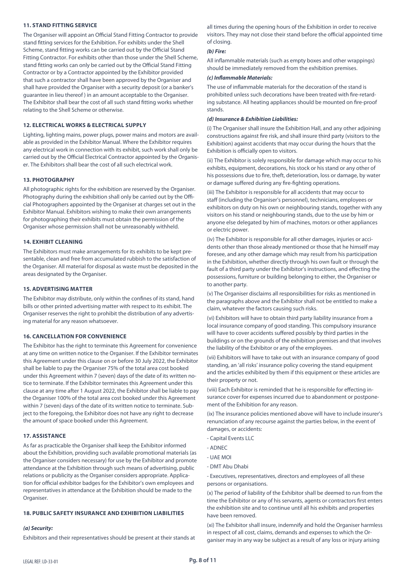#### **11. STAND FITTING SERVICE**

The Organiser will appoint an Official Stand Fitting Contractor to provide stand fitting services for the Exhibition. For exhibits under the Shell Scheme, stand fitting works can be carried out by the Official Stand Fitting Contractor. For exhibits other than those under the Shell Scheme, stand fitting works can only be carried out by the Official Stand Fitting Contractor or by a Contractor appointed by the Exhibitor provided that such a contractor shall have been approved by the Organiser and shall have provided the Organiser with a security deposit (or a banker's guarantee in lieu thereof ) in an amount acceptable to the Organiser. The Exhibitor shall bear the cost of all such stand fitting works whether relating to the Shell Scheme or otherwise.

#### **12. ELECTRICAL WORKS & ELECTRICAL SUPPLY**

Lighting, lighting mains, power plugs, power mains and motors are available as provided in the Exhibitor Manual. Where the Exhibitor requires any electrical work in connection with its exhibit, such work shall only be carried out by the Official Electrical Contractor appointed by the Organiser. The Exhibitors shall bear the cost of all such electrical work.

#### **13. PHOTOGRAPHY**

All photographic rights for the exhibition are reserved by the Organiser. Photography during the exhibition shall only be carried out by the Official Photographers appointed by the Organiser at charges set out in the Exhibitor Manual. Exhibitors wishing to make their own arrangements for photographing their exhibits must obtain the permission of the Organiser whose permission shall not be unreasonably withheld.

#### **14. EXHIBIT CLEANING**

The Exhibitors must make arrangements for its exhibits to be kept presentable, clean and free from accumulated rubbish to the satisfaction of the Organiser. All material for disposal as waste must be deposited in the areas designated by the Organiser.

#### **15. ADVERTISING MATTER**

The Exhibitor may distribute, only within the confines of its stand, hand bills or other printed advertising matter with respect to its exhibit. The Organiser reserves the right to prohibit the distribution of any advertising material for any reason whatsoever.

#### **16. CANCELLATION FOR CONVENIENCE**

The Exhibitor has the right to terminate this Agreement for convenience at any time on written notice to the Organiser. If the Exhibitor terminates this Agreement under this clause on or before 30 July 2022, the Exhibitor shall be liable to pay the Organiser 75% of the total area cost booked under this Agreement within 7 (seven) days of the date of its written notice to terminate. If the Exhibitor terminates this Agreement under this clause at any time after 1 August 2022, the Exhibitor shall be liable to pay the Organiser 100% of the total area cost booked under this Agreement within 7 (seven) days of the date of its written notice to terminate. Subject to the foregoing, the Exhibitor does not have any right to decrease the amount of space booked under this Agreement.

#### **17. ASSISTANCE**

As far as practicable the Organiser shall keep the Exhibitor informed about the Exhibition, providing such available promotional materials (as the Organiser considers necessary) for use by the Exhibitor and promote attendance at the Exhibition through such means of advertising, public relations or publicity as the Organiser considers appropriate. Application for official exhibitor badges for the Exhibitor's own employees and representatives in attendance at the Exhibition should be made to the Organiser

#### **18. PUBLIC SAFETY INSURANCE AND EXHIBITION LIABILITIES**

#### *(a) Security:*

Exhibitors and their representatives should be present at their stands at

all times during the opening hours of the Exhibition in order to receive visitors. They may not close their stand before the official appointed time of closing.

#### *(b) Fire:*

All inflammable materials (such as empty boxes and other wrappings) should be immediately removed from the exhibition premises.

#### *(c) Inflammable Materials:*

The use of inflammable materials for the decoration of the stand is prohibited unless such decorations have been treated with fire-retarding substance. All heating appliances should be mounted on fire-proof stands.

#### *(d) Insurance & Exhibition Liabilities:*

(i) The Organiser shall insure the Exhibition Hall, and any other adjoining constructions against fire risk, and shall insure third party (visitors to the Exhibition) against accidents that may occur during the hours that the Exhibition is officially open to visitors.

(ii) The Exhibitor is solely responsible for damage which may occur to his exhibits, equipment, decorations, his stock or his stand or any other of his possessions due to fire, theft, deterioration, loss or damage, by water or damage suffered during any fire-fighting operations.

(iii) The Exhibitor is responsible for all accidents that may occur to staff (including the Organiser's personnel), technicians, employees or exhibitors on duty on his own or neighbouring stands, together with any visitors on his stand or neighbouring stands, due to the use by him or anyone else delegated by him of machines, motors or other appliances or electric power.

(iv) The Exhibitor is responsible for all other damages, injuries or accidents other than those already mentioned or those that he himself may foresee, and any other damage which may result from his participation in the Exhibition, whether directly through his own fault or through the fault of a third party under the Exhibitor's instructions, and effecting the possessions, furniture or building belonging to either, the Organiser or to another party.

(v) The Organiser disclaims all responsibilities for risks as mentioned in the paragraphs above and the Exhibitor shall not be entitled to make a claim, whatever the factors causing such risks.

(vi) Exhibitors will have to obtain third party liability insurance from a local insurance company of good standing. This compulsory insurance will have to cover accidents suffered possibly by third parties in the buildings or on the grounds of the exhibition premises and that involves the liability of the Exhibitor or any of the employees.

(vii) Exhibitors will have to take out with an insurance company of good standing, an 'all risks' insurance policy covering the stand equipment and the articles exhibited by them if this equipment or these articles are their property or not.

(viii) Each Exhibitor is reminded that he is responsible for effecting insurance cover for expenses incurred due to abandonment or postponement of the Exhibition for any reason.

(ix) The insurance policies mentioned above will have to include insurer's renunciation of any recourse against the parties below, in the event of damages, or accidents:

- Capital Events LLC
- ADNEC
- UAE MOI
- DMT Abu Dhabi

- Executives, representatives, directors and employees of all these persons or organisations.

(x) The period of liability of the Exhibitor shall be deemed to run from the time the Exhibitor or any of his servants, agents or contractors first enters the exhibition site and to continue until all his exhibits and properties have been removed.

(xi) The Exhibitor shall insure, indemnify and hold the Organiser harmless in respect of all cost, claims, demands and expenses to which the Organiser may in any way be subject as a result of any loss or injury arising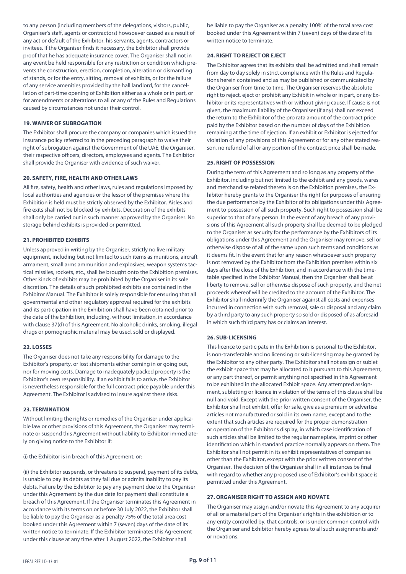to any person (including members of the delegations, visitors, public, Organiser's staff, agents or contractors) howsoever caused as a result of any act or default of the Exhibitor, his servants, agents, contractors or invitees. If the Organiser finds it necessary, the Exhibitor shall provide proof that he has adequate insurance cover. The Organiser shall not in any event be held responsible for any restriction or condition which prevents the construction, erection, completion, alteration or dismantling of stands, or for the entry, sitting, removal of exhibits, or for the failure of any service amenities provided by the hall landlord, for the cancellation of part-time opening of Exhibition either as a whole or in part, or for amendments or alterations to all or any of the Rules and Regulations caused by circumstances not under their control.

#### **19. WAIVER OF SUBROGATION**

The Exhibitor shall procure the company or companies which issued the insurance policy referred to in the preceding paragraph to waive their right of subrogation against the Government of the UAE, the Organiser, their respective officers, directors, employees and agents. The Exhibitor shall provide the Organiser with evidence of such waiver.

#### **20. SAFETY, FIRE, HEALTH AND OTHER LAWS**

All fire, safety, health and other laws, rules and regulations imposed by local authorities and agencies or the lessor of the premises where the Exhibition is held must be strictly observed by the Exhibitor. Aisles and fire exits shall not be blocked by exhibits. Decoration of the exhibits shall only be carried out in such manner approved by the Organiser. No storage behind exhibits is provided or permitted.

#### **21. PROHIBITED EXHIBITS**

Unless approved in writing by the Organiser, strictly no live military equipment, including but not limited to such items as munitions, aircraft armament, small arms ammunition and explosives, weapon systems tactical missiles, rockets, etc., shall be brought onto the Exhibition premises. Other kinds of exhibits may be prohibited by the Organiser in its sole discretion. The details of such prohibited exhibits are contained in the Exhibitor Manual. The Exhibitor is solely responsible for ensuring that all governmental and other regulatory approval required for the exhibits and its participation in the Exhibition shall have been obtained prior to the date of the Exhibition, including, without limitation, in accordance with clause 37(d) of this Agreement. No alcoholic drinks, smoking, illegal drugs or pornographic material may be used, sold or displayed.

#### **22. LOSSES**

The Organiser does not take any responsibility for damage to the Exhibitor's property, or lost shipments either coming in or going out, nor for moving costs. Damage to inadequately packed property is the Exhibitor's own responsibility. If an exhibit fails to arrive, the Exhibitor is nevertheless responsible for the full contract price payable under this Agreement. The Exhibitor is advised to insure against these risks.

#### **23. TERMINATION**

Without limiting the rights or remedies of the Organiser under applicable law or other provisions of this Agreement, the Organiser may terminate or suspend this Agreement without liability to Exhibitor immediately on giving notice to the Exhibitor if:

(i) the Exhibitor is in breach of this Agreement; or:

(ii) the Exhibitor suspends, or threatens to suspend, payment of its debts, is unable to pay its debts as they fall due or admits inability to pay its debts. Failure by the Exhibitor to pay any payment due to the Organiser under this Agreement by the due date for payment shall constitute a breach of this Agreement. If the Organiser terminates this Agreement in accordance with its terms on or before 30 July 2022, the Exhibitor shall be liable to pay the Organiser as a penalty 75% of the total area cost booked under this Agreement within 7 (seven) days of the date of its written notice to terminate. If the Exhibitor terminates this Agreement under this clause at any time after 1 August 2022, the Exhibitor shall

be liable to pay the Organiser as a penalty 100% of the total area cost booked under this Agreement within 7 (seven) days of the date of its written notice to terminate.

#### **24. RIGHT TO REJECT OR EJECT**

The Exhibitor agrees that its exhibits shall be admitted and shall remain from day to day solely in strict compliance with the Rules and Regulations herein contained and as may be published or communicated by the Organiser from time to time. The Organiser reserves the absolute right to reject, eject or prohibit any Exhibit in whole or in part, or any Exhibitor or its representatives with or without giving cause. If cause is not given, the maximum liability of the Organiser (if any) shall not exceed the return to the Exhibitor of the pro rata amount of the contract price paid by the Exhibitor based on the number of days of the Exhibition remaining at the time of ejection. If an exhibit or Exhibitor is ejected for violation of any provisions of this Agreement or for any other stated reason, no refund of all or any portion of the contract price shall be made.

#### **25. RIGHT OF POSSESSION**

During the term of this Agreement and so long as any property of the Exhibitor, including but not limited to the exhibit and any goods, wares and merchandise related thereto is on the Exhibition premises, the Exhibitor hereby grants to the Organiser the right for purposes of ensuring the due performance by the Exhibitor of its obligations under this Agreement to possession of all such property. Such right to possession shall be superior to that of any person. In the event of any breach of any provisions of this Agreement all such property shall be deemed to be pledged to the Organiser as security for the performance by the Exhibitors of its obligations under this Agreement and the Organiser may remove, sell or otherwise dispose of all of the same upon such terms and conditions as it deems fit. In the event that for any reason whatsoever such property is not removed by the Exhibitor from the Exhibition premises within six days after the close of the Exhibition, and in accordance with the timetable specified in the Exhibitor Manual, then the Organiser shall be at liberty to remove, sell or otherwise dispose of such property, and the net proceeds whereof will be credited to the account of the Exhibitor. The Exhibitor shall indemnify the Organiser against all costs and expenses incurred in connection with such removal, sale or disposal and any claim by a third party to any such property so sold or disposed of as aforesaid in which such third party has or claims an interest.

#### **26. SUB-LICENSING**

This licence to participate in the Exhibition is personal to the Exhibitor, is non-transferable and no licensing or sub-licensing may be granted by the Exhibitor to any other party. The Exhibitor shall not assign or sublet the exhibit space that may be allocated to it pursuant to this Agreement, or any part thereof, or permit anything not specified in this Agreement to be exhibited in the allocated Exhibit space. Any attempted assignment, subletting or licence in violation of the terms of this clause shall be null and void. Except with the prior written consent of the Organiser, the Exhibitor shall not exhibit, offer for sale, give as a premium or advertise articles not manufactured or sold in its own name, except and to the extent that such articles are required for the proper demonstration or operation of the Exhibitor's display, in which case identification of such articles shall be limited to the regular nameplate, imprint or other identification which in standard practice normally appears on them. The Exhibitor shall not permit in its exhibit representatives of companies other than the Exhibitor, except with the prior written consent of the Organiser. The decision of the Organiser shall in all instances be final with regard to whether any proposed use of Exhibitor's exhibit space is permitted under this Agreement.

#### **27. ORGANISER RIGHT TO ASSIGN AND NOVATE**

The Organiser may assign and/or novate this Agreement to any acquirer of all or a material part of the Organiser's rights in the exhibition or to any entity controlled by, that controls, or is under common control with the Organiser and Exhibitor hereby agrees to all such assignments and/ or novations.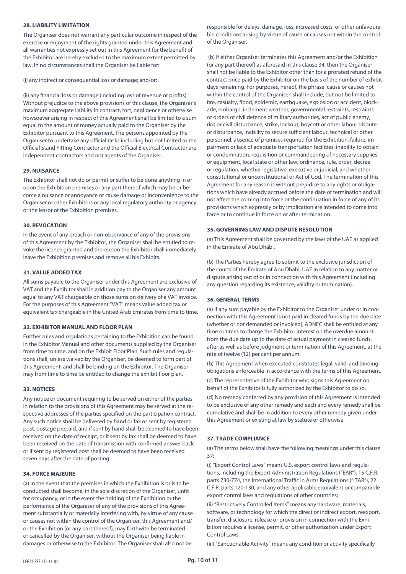#### **28. LIABILITY LIMITATION**

The Organiser does not warrant any particular outcome in respect of the exercise or enjoyment of the rights granted under this Agreement and all warranties not expressly set out in this Agreement for the benefit of the Exhibitor are hereby excluded to the maximum extent permitted by law. In no circumstances shall the Organiser be liable for:

(i) any indirect or consequential loss or damage; and/or:

(ii) any financial loss or damage (including loss of revenue or profits). Without prejudice to the above provisions of this clause, the Organiser's maximum aggregate liability in contract, tort, negligence or otherwise howsoever arising in respect of this Agreement shall be limited to a sum equal to the amount of money actually paid to the Organiser by the Exhibitor pursuant to this Agreement. The persons appointed by the Organiser to undertake any official tasks including but not limited to the Official Stand Fitting Contractor and the Official Electrical Contractor are independent contractors and not agents of the Organiser.

#### **29. NUISANCE**

The Exhibitor shall not do or permit or suffer to be done anything in or upon the Exhibition premises or any part thereof which may be or become a nuisance or annoyance or cause damage or inconvenience to the Organiser or other Exhibitors or any local regulatory authority or agency or the lessor of the Exhibition premises.

#### **30. REVOCATION**

In the event of any breach or non-observance of any of the provisions of this Agreement by the Exhibitor, the Organiser shall be entitled to revoke the licence granted and thereupon the Exhibitor shall immediately leave the Exhibition premises and remove all his Exhibits.

#### **31. VALUE ADDED TAX**

All sums payable to the Organiser under this Agreement are exclusive of VAT and the Exhibitor shall in addition pay to the Organiser any amount equal to any VAT chargeable on those sums on delivery of a VAT invoice. For the purposes of this Agreement "VAT" means value added tax or equivalent tax chargeable in the United Arab Emirates from time to time.

#### **32. EXHIBITOR MANUAL AND FLOOR PLAN**

Further rules and regulations pertaining to the Exhibition can be found in the Exhibitor Manual and other documents supplied by the Organiser from time to time, and on the Exhibit Floor Plan. Such rules and regulations shall, unless waived by the Organiser, be deemed to form part of this Agreement, and shall be binding on the Exhibitor. The Organiser may from time to time be entitled to change the exhibit floor plan.

#### **33. NOTICES**

Any notice or document requiring to be served on either of the parties in relation to the provisions of this Agreement may be served at the respective addresses of the parties specified on the participation contract. Any such notice shall be delivered by hand or fax or sent by registered post, postage prepaid, and if sent by hand shall be deemed to have been received on the date of receipt, or if sent by fax shall be deemed to have been received on the date of transmission with confirmed answer back, or if sent by registered post shall be deemed to have been received seven days after the date of posting.

#### **34. FORCE MAJEURE**

(a) In the event that the premises in which the Exhibition is or is to be conducted shall become, in the sole discretion of the Organiser, unfit for occupancy, or in the event the holding of the Exhibition or the performance of the Organiser of any of the provisions of this Agreement substantially or materially interfering with, by virtue of any cause or causes not within the control of the Organiser, this Agreement and/ or the Exhibition (or any part thereof), may forthwith be terminated or cancelled by the Organiser, without the Organiser being liable in damages or otherwise to the Exhibitor. The Organiser shall also not be

responsible for delays, damage, loss, increased costs, or other unfavourable conditions arising by virtue of cause or causes not within the control of the Organiser.

 (b) If either Organiser terminates this Agreement and/or the Exhibition (or any part thereof) as aforesaid in this clause 34, then the Organiser shall not be liable to the Exhibitor other than for a prorated refund of the contract price paid by the Exhibitor on the basis of the number of exhibit days remaining. For purposes, hereof, the phrase 'cause or causes not within the control of the Organiser' shall include, but not be limited to fire, casualty, flood, epidemic, earthquake, explosion or accident, blockade, embargo, inclement weather, governmental restraints, restraints or orders of civil defence of military authorities, act of public enemy, riot or civil disturbance, strike, lockout, boycott or other labour dispute or disturbance, inability to secure sufficient labour, technical or other personnel, absence of premises required for the Exhibition, failure, impairment or lack of adequate transportation facilities, inability to obtain or condemnation, requisition or commandeering of necessary supplies or equipment, local state or other law, ordinance, rule, order, decree or regulation, whether legislative, executive or judicial, and whether constitutional or unconstitutional or Act of God. The termination of this Agreement for any reason is without prejudice to any rights or obligations which have already accrued before the date of termination and will not affect the coming into force or the continuation in force of any of its provisions which expressly or by implication are intended to come into force or to continue in force on or after termination.

#### **35. GOVERNING LAW AND DISPUTE RESOLUTION**

(a) This Agreement shall be governed by the laws of the UAE as applied in the Emirate of Abu Dhabi.

(b) The Parties hereby agree to submit to the exclusive jurisdiction of the courts of the Emirate of Abu Dhabi, UAE in relation to any matter or dispute arising out of or in connection with this Agreement (including any question regarding its existence, validity or termination).

#### **36. GENERAL TERMS**

(a) If any sum payable by the Exhibitor to the Organiser under or in connection with this Agreement is not paid in cleared funds by the due date (whether or not demanded or invoiced), ADNEC shall be entitled at any time or times to charge the Exhibitor interest on the overdue amount, from the due date up to the date of actual payment in cleared funds, after as well as before judgment or termination of this Agreement, at the rate of twelve (12) per cent per annum.

(b) This Agreement when executed constitutes legal, valid, and binding obligations enforceable in accordance with the terms of this Agreement. (c) The representative of the Exhibitor who signs this Agreement on behalf of the Exhibitor is fully authorized by the Exhibitor to do so.

(d) No remedy conferred by any provision of this Agreement is intended to be exclusive of any other remedy and each and every remedy shall be cumulative and shall be in addition to every other remedy given under this Agreement or existing at law by statute or otherwise.

#### **37. TRADE COMPLIANCE**

(a) The terms below shall have the following meanings under this clause 37:

(i) "Export Control Laws" means U.S. export control laws and regulations, including the Export Administration Regulations ("EAR"), 15 C.F.R. parts 730-774, the International Traffic in Arms Regulations ("ITAR"), 22 C.F.R. parts 120-130, and any other applicable equivalent or comparable export control laws and regulations of other countries;

(ii) "Restrictively Controlled Items" means any hardware, materials, software, or technology for which the direct or indirect export, reexport, transfer, disclosure, release or provision in connection with the Exhibition requires a license, permit, or other authorization under Export Control Laws.

(iii) "Sanctionable Activity" means any condition or activity specifically